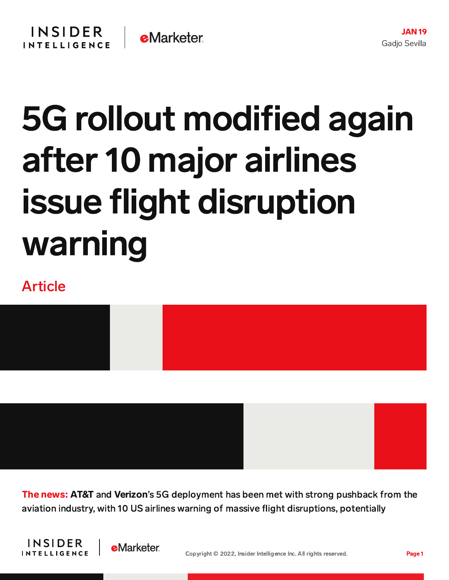## 5G rollout modified again after 10 major airlines issue flight disruption warning

## Article



The news: AT&T and Verizon's 5G deployment has been met with strong pushback from the aviation industry, with 10 US airlines warning of massive flight disruptions, potentially



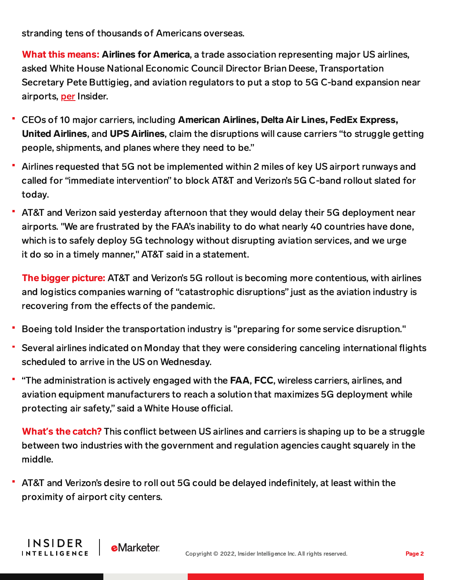stranding tens of thousands of Americans overseas.

What this means: Airlines for America, a trade association representing major US airlines, asked White House National Economic Council Director Brian Deese, Transportation Secretary Pete Buttigieg, and aviation regulators to put a stop to 5G C-band expansion near airports, [per](https://www.businessinsider.com/us-airlines-warn-massive-flight-disruptions-chaos-5g-rollout-2022-1) Insider.

- CEOs of 10 major carriers, including American Airlines, Delta Air Lines, FedEx Express, United Airlines, and UPS Airlines, claim the disruptions will cause carriers "to struggle getting people, shipments, and planes where they need to be."
- Airlines requested that 5G not be implemented within 2 miles of key US airport runways and called for "immediate intervention" to block AT&T and Verizon's 5G C-band rollout slated for today.
- AT&T and Verizon said yesterday afternoon that they would delay their 5G deployment near airports. "We are frustrated by the FAA's inability to do what nearly 40 countries have done, which is to safely deploy 5G technology without disrupting aviation services, and we urge it do so in a timely manner," AT&T said in a statement.

The bigger picture: AT&T and Verizon's 5G rollout is becoming more contentious, with airlines and logistics companies warning of "catastrophic disruptions" just as the aviation industry is recovering from the effects of the pandemic.

- Boeing told Insider the transportation industry is "preparing for some service disruption."
- Several airlines indicated on Monday that they were considering canceling international flights scheduled to arrive in the US on Wednesday.
- "The administration is actively engaged with the FAA, FCC, wireless carriers, airlines, and aviation equipment manufacturers to reach a solution that maximizes 5G deployment while protecting air safety," said a White House official.

What**'**s the catch? This conflict between US airlines and carriers is shaping up to be a struggle between two industries with the government and regulation agencies caught squarely in the middle.

AT&T and Verizon's desire to roll out 5G could be delayed indefinitely, at least within the proximity of airport city centers.

**INSIDER** 

**INTELLIGENCE** 

**e**Marketer